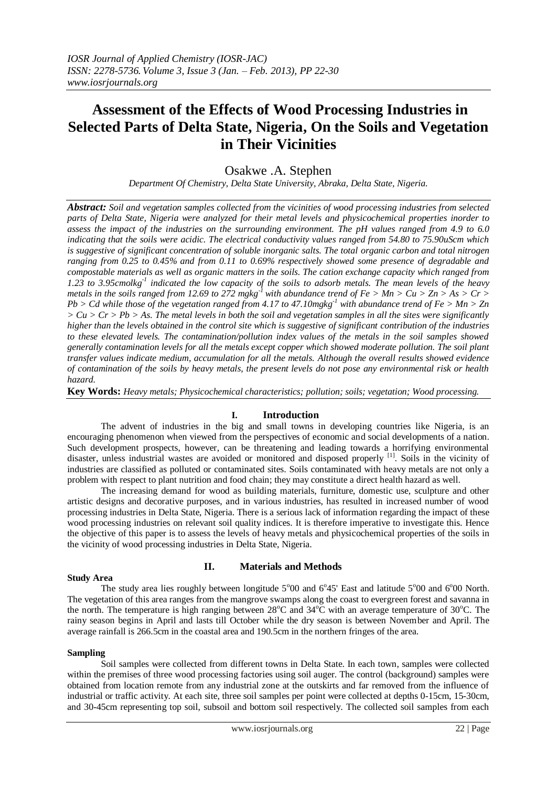# **Assessment of the Effects of Wood Processing Industries in Selected Parts of Delta State, Nigeria, On the Soils and Vegetation in Their Vicinities**

# Osakwe .A. Stephen

*Department Of Chemistry, Delta State University, Abraka, Delta State, Nigeria.*

*Abstract: Soil and vegetation samples collected from the vicinities of wood processing industries from selected parts of Delta State, Nigeria were analyzed for their metal levels and physicochemical properties inorder to assess the impact of the industries on the surrounding environment. The pH values ranged from 4.9 to 6.0 indicating that the soils were acidic. The electrical conductivity values ranged from 54.80 to 75.90uScm which is suggestive of significant concentration of soluble inorganic salts. The total organic carbon and total nitrogen ranging from 0.25 to 0.45% and from 0.11 to 0.69% respectively showed some presence of degradable and compostable materials as well as organic matters in the soils. The cation exchange capacity which ranged from 1.23 to 3.95cmolkg-1 indicated the low capacity of the soils to adsorb metals. The mean levels of the heavy metals in the soils ranged from 12.69 to 272 mgkg*<sup>-1</sup> *with abundance trend of Fe > Mn > Cu > Zn > As > Cr > Pb > Cd while those of the vegetation ranged from 4.17 to 47.10mgkg-1 with abundance trend of Fe > Mn > Zn*   $> Cu > Cr > Pb > As.$  The metal levels in both the soil and vegetation samples in all the sites were significantly *higher than the levels obtained in the control site which is suggestive of significant contribution of the industries to these elevated levels. The contamination/pollution index values of the metals in the soil samples showed generally contamination levels for all the metals except copper which showed moderate pollution. The soil plant transfer values indicate medium, accumulation for all the metals. Although the overall results showed evidence of contamination of the soils by heavy metals, the present levels do not pose any environmental risk or health hazard.*

**Key Words:** *Heavy metals; Physicochemical characteristics; pollution; soils; vegetation; Wood processing.*

## **I. Introduction**

The advent of industries in the big and small towns in developing countries like Nigeria, is an encouraging phenomenon when viewed from the perspectives of economic and social developments of a nation. Such development prospects, however, can be threatening and leading towards a horrifying environmental disaster, unless industrial wastes are avoided or monitored and disposed properly <sup>[1]</sup>. Soils in the vicinity of industries are classified as polluted or contaminated sites. Soils contaminated with heavy metals are not only a problem with respect to plant nutrition and food chain; they may constitute a direct health hazard as well.

The increasing demand for wood as building materials, furniture, domestic use, sculpture and other artistic designs and decorative purposes, and in various industries, has resulted in increased number of wood processing industries in Delta State, Nigeria. There is a serious lack of information regarding the impact of these wood processing industries on relevant soil quality indices. It is therefore imperative to investigate this. Hence the objective of this paper is to assess the levels of heavy metals and physicochemical properties of the soils in the vicinity of wood processing industries in Delta State, Nigeria.

#### **Study Area**

#### **II. Materials and Methods**

The study area lies roughly between longitude  $5^{\circ}00$  and  $6^{\circ}45'$  East and latitude  $5^{\circ}00$  and  $6^{\circ}00$  North. The vegetation of this area ranges from the mangrove swamps along the coast to evergreen forest and savanna in the north. The temperature is high ranging between  $28^{\circ}$ C and  $34^{\circ}$ C with an average temperature of  $30^{\circ}$ C. The rainy season begins in April and lasts till October while the dry season is between November and April. The average rainfall is 266.5cm in the coastal area and 190.5cm in the northern fringes of the area.

#### **Sampling**

Soil samples were collected from different towns in Delta State. In each town, samples were collected within the premises of three wood processing factories using soil auger. The control (background) samples were obtained from location remote from any industrial zone at the outskirts and far removed from the influence of industrial or traffic activity. At each site, three soil samples per point were collected at depths 0-15cm, 15-30cm, and 30-45cm representing top soil, subsoil and bottom soil respectively. The collected soil samples from each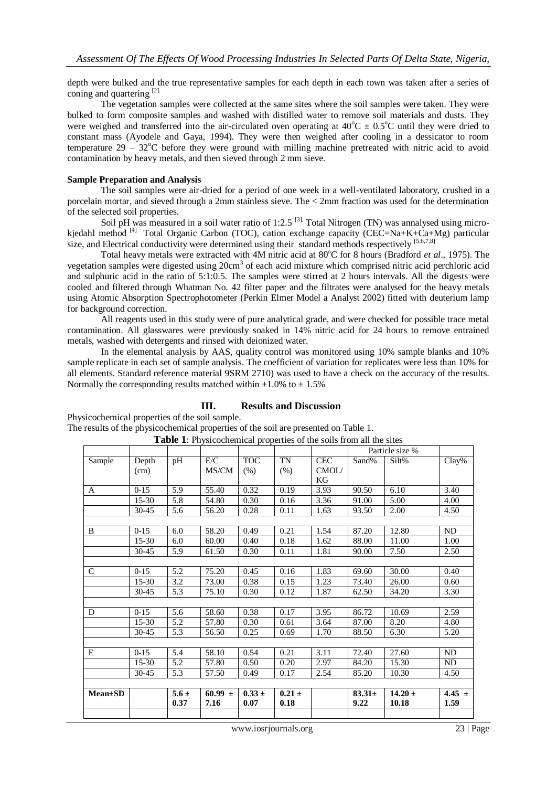depth were bulked and the true representative samples for each depth in each town was taken after a series of coning and quartering [2].

The vegetation samples were collected at the same sites where the soil samples were taken. They were bulked to form composite samples and washed with distilled water to remove soil materials and dusts. They were weighed and transferred into the air-circulated oven operating at  $40^{\circ}$ C  $\pm$  0.5<sup>o</sup>C until they were dried to constant mass (Ayodele and Gaya, 1994). They were then weighed after cooling in a dessicator to room temperature  $29 - 32^{\circ}$ C before they were ground with milling machine pretreated with nitric acid to avoid contamination by heavy metals, and then sieved through 2 mm sieve.

#### **Sample Preparation and Analysis**

The soil samples were air-dried for a period of one week in a well-ventilated laboratory, crushed in a porcelain mortar, and sieved through a 2mm stainless sieve. The < 2mm fraction was used for the determination of the selected soil properties.

Soil pH was measured in a soil water ratio of 1:2.5  $^{[3]}$ . Total Nitrogen (TN) was annalysed using microkjedahl method <sup>[4]</sup> Total Organic Carbon (TOC), cation exchange capacity (CEC=Na+K+Ca+Mg) particular size, and Electrical conductivity were determined using their standard methods respectively  $[5,6,7,8]$ 

Total heavy metals were extracted with 4M nitric acid at 80<sup>o</sup>C for 8 hours (Bradford *et al.*, 1975). The vegetation samples were digested using 20cm<sup>3</sup> of each acid mixture which comprised nitric acid perchloric acid and sulphuric acid in the ratio of 5:1:0.5. The samples were stirred at 2 hours intervals. All the digests were cooled and filtered through Whatman No. 42 filter paper and the filtrates were analysed for the heavy metals using Atomic Absorption Spectrophotometer (Perkin Elmer Model a Analyst 2002) fitted with deuterium lamp for background correction.

All reagents used in this study were of pure analytical grade, and were checked for possible trace metal contamination. All glasswares were previously soaked in 14% nitric acid for 24 hours to remove entrained metals, washed with detergents and rinsed with deionized water.

In the elemental analysis by AAS, quality control was monitored using 10% sample blanks and 10% sample replicate in each set of sample analysis. The coefficient of variation for replicates were less than 10% for all elements. Standard reference material 9SRM 2710) was used to have a check on the accuracy of the results. Normally the corresponding results matched within  $\pm 1.0\%$  to  $\pm 1.5\%$ 

## **III. Results and Discussion**

Physicochemical properties of the soil sample.

The results of the physicochemical properties of the soil are presented on Table 1. **Table 1**: Physicochemical properties of the soils from all the sites

|                 |           |           |             |                 |            |            |             | Particle size % |            |
|-----------------|-----------|-----------|-------------|-----------------|------------|------------|-------------|-----------------|------------|
| Sample          | Depth     | pH        | E/C         | <b>TOC</b>      | TN         | <b>CEC</b> | Sand%       | Silt%           | Clay%      |
|                 | (cm)      |           | MS/CM       | (% )            | $(\%)$     | CMOL/      |             |                 |            |
|                 |           |           |             |                 |            | KG         |             |                 |            |
| A               | $0-15$    | 5.9       | 55.40       | 0.32            | 0.19       | 3.93       | 90.50       | 6.10            | 3.40       |
|                 | 15-30     | 5.8       | 54.80       | 0.30            | 0.16       | 3.36       | 91.00       | 5.00            | 4.00       |
|                 | 30-45     | 5.6       | 56.20       | 0.28            | 0.11       | 1.63       | 93.50       | 2.00            | 4.50       |
|                 |           |           |             |                 |            |            |             |                 |            |
| B               | $0-15$    | 6.0       | 58.20       | 0.49            | 0.21       | 1.54       | 87.20       | 12.80           | ND         |
|                 | $15-30$   | 6.0       | 60.00       | 0.40            | 0.18       | 1.62       | 88.00       | 11.00           | 1.00       |
|                 | 30-45     | 5.9       | 61.50       | 0.30            | 0.11       | 1.81       | 90.00       | 7.50            | 2.50       |
|                 |           |           |             |                 |            |            |             |                 |            |
| $\mathsf{C}$    | $0-15$    | 5.2       | 75.20       | 0.45            | 0.16       | 1.83       | 69.60       | 30.00           | 0.40       |
|                 | $15-30$   | $3.2\,$   | 73.00       | 0.38            | 0.15       | 1.23       | 73.40       | 26.00           | 0.60       |
|                 | $30 - 45$ | 5.3       | 75.10       | 0.30            | 0.12       | 1.87       | 62.50       | 34.20           | 3.30       |
|                 |           |           |             |                 |            |            |             |                 |            |
| D               | $0-15$    | 5.6       | 58.60       | 0.38            | 0.17       | 3.95       | 86.72       | 10.69           | 2.59       |
|                 | $15-30$   | 5.2       | 57.80       | 0.30            | 0.61       | 3.64       | 87.00       | 8.20            | 4.80       |
|                 | 30-45     | 5.3       | 56.50       | 0.25            | 0.69       | 1.70       | 88.50       | 6.30            | 5.20       |
|                 |           |           |             |                 |            |            |             |                 |            |
| E               | $0 - 15$  | 5.4       | 58.10       | 0.54            | 0.21       | 3.11       | 72.40       | 27.60           | ND         |
|                 | $15 - 30$ | 5.2       | 57.80       | 0.50            | 0.20       | 2.97       | 84.20       | 15.30           | ND         |
|                 | 30-45     | 5.3       | 57.50       | 0.49            | 0.17       | 2.54       | 85.20       | 10.30           | 4.50       |
|                 |           |           |             |                 |            |            |             |                 |            |
| <b>Mean</b> ±SD |           | $5.6 \pm$ | 60.99 $\pm$ | $0.33 \pm 0.33$ | $0.21 \pm$ |            | $83.31 \pm$ | 14.20 $\pm$     | 4.45 $\pm$ |
|                 |           | 0.37      | 7.16        | 0.07            | 0.18       |            | 9.22        | 10.18           | 1.59       |
|                 |           |           |             |                 |            |            |             |                 |            |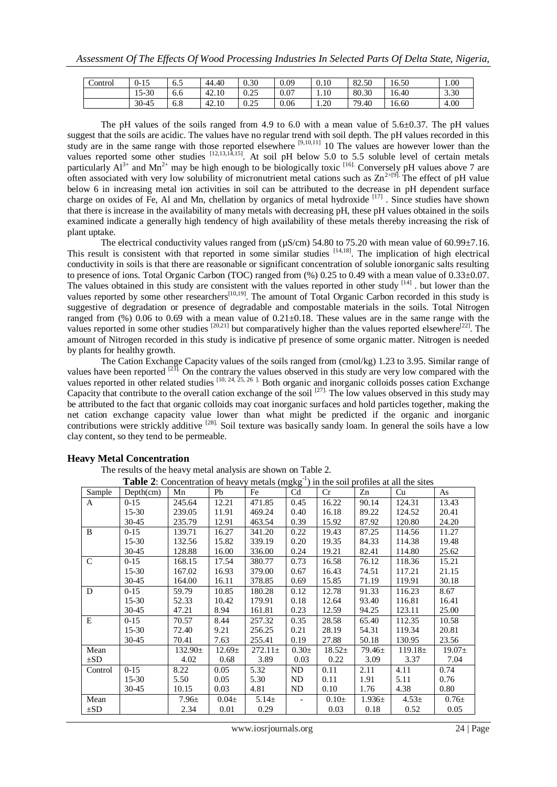| Control | 15<br>$0 - 15$ | - F<br>0.5 | 44.40 | 0.30         | 0.09 | 0.10 | 82.50 | .6.50 | 1.00 |
|---------|----------------|------------|-------|--------------|------|------|-------|-------|------|
|         | 15-30          | 6.6        | 42.10 | 0.25         | 0.07 | 1.10 | 80.30 | 6.40  | 3.30 |
|         | 30-45          | 6.8        | 42.10 | 0.25<br>U.ZJ | 0.06 | 1.20 | 79.40 | 6.60  | 4.00 |

The pH values of the soils ranged from 4.9 to 6.0 with a mean value of  $5.6\pm0.37$ . The pH values suggest that the soils are acidic. The values have no regular trend with soil depth. The pH values recorded in this study are in the same range with those reported elsewhere <sup>[9,10,11]</sup> 10 The values are however lower than the values reported some other studies  $[12,13,14,15]$ . At soil pH below 5.0 to 5.5 soluble level of certain metals particularly  $Al^{3+}$  and  $Mn^{2+}$  may be high enough to be biologically toxic  $\frac{[16]}{[16]}$ . Conversely pH values above 7 are often associated with very low solubility of micronutrient metal cations such as  $\text{Zn}^{2+[9]}$ . The effect of pH value below 6 in increasing metal ion activities in soil can be attributed to the decrease in pH dependent surface charge on oxides of Fe, Al and Mn, chellation by organics of metal hydroxide<sup>[17]</sup>. Since studies have shown that there is increase in the availability of many metals with decreasing pH, these pH values obtained in the soils examined indicate a generally high tendency of high availability of these metals thereby increasing the risk of plant uptake.

The electrical conductivity values ranged from  $(\mu S/cm)$  54.80 to 75.20 with mean value of 60.99 $\pm$ 7.16. This result is consistent with that reported in some similar studies  $[14,18]$ . The implication of high electrical conductivity in soils is that there are reasonable or significant concentration of soluble ionorganic salts resulting to presence of ions. Total Organic Carbon (TOC) ranged from (%) 0.25 to 0.49 with a mean value of 0.33 $\pm$ 0.07. The values obtained in this study are consistent with the values reported in other study  $[14]$ . but lower than the values reported by some other researchers<sup>[10,19]</sup>. The amount of Total Organic Carbon recorded in this study is suggestive of degradation or presence of degradable and compostable materials in the soils. Total Nitrogen ranged from  $(\%)$  0.06 to 0.69 with a mean value of 0.21 $\pm$ 0.18. These values are in the same range with the values reported in some other studies  $[20,21]$  but comparatively higher than the values reported elsewhere  $[22]$ . The amount of Nitrogen recorded in this study is indicative pf presence of some organic matter. Nitrogen is needed by plants for healthy growth.

The Cation Exchange Capacity values of the soils ranged from (cmol/kg) 1.23 to 3.95. Similar range of values have been reported <sup>[23]</sup>. On the contrary the values observed in this study are very low compared with the values reported in other related studies  $[10, 24, 25, 26]$ . Both organic and inorganic colloids posses cation Exchange Capacity that contribute to the overall cation exchange of the soil  $[27]$ . The low values observed in this study may be attributed to the fact that organic colloids may coat inorganic surfaces and hold particles together, making the net cation exchange capacity value lower than what might be predicted if the organic and inorganic contributions were strickly additive <sup>[28]</sup>. Soil texture was basically sandy loam. In general the soils have a low clay content, so they tend to be permeable.

The results of the heavy metal analysis are shown on Table 2.<br> **Table 2:** Concentration of heavy metals (make<sup>1</sup>) in the

|               | <b>Table 2:</b> Concentration of heavy metals $(mgkg^{-1})$ in the soil profiles at all the sites |              |             |              |           |             |             |              |             |  |  |
|---------------|---------------------------------------------------------------------------------------------------|--------------|-------------|--------------|-----------|-------------|-------------|--------------|-------------|--|--|
| Sample        | Depth(cm)                                                                                         | Mn           | Pb          | Fe           | Cd        | Cr          | Zn          | Cu           | As          |  |  |
| A             | $0-15$                                                                                            | 245.64       | 12.21       | 471.85       | 0.45      | 16.22       | 90.14       | 124.31       | 13.43       |  |  |
|               | $15 - 30$                                                                                         | 239.05       | 11.91       | 469.24       | 0.40      | 16.18       | 89.22       | 124.52       | 20.41       |  |  |
|               | $30 - 45$                                                                                         | 235.79       | 12.91       | 463.54       | 0.39      | 15.92       | 87.92       | 120.80       | 24.20       |  |  |
| B             | $0 - 15$                                                                                          | 139.71       | 16.27       | 341.20       | 0.22      | 19.43       | 87.25       | 114.56       | 11.27       |  |  |
|               | $15 - 30$                                                                                         | 132.56       | 15.82       | 339.19       | 0.20      | 19.35       | 84.33       | 114.38       | 19.48       |  |  |
|               | $30 - 45$                                                                                         | 128.88       | 16.00       | 336.00       | 0.24      | 19.21       | 82.41       | 114.80       | 25.62       |  |  |
| $\mathcal{C}$ | $0-15$                                                                                            | 168.15       | 17.54       | 380.77       | 0.73      | 16.58       | 76.12       | 118.36       | 15.21       |  |  |
|               | $15 - 30$                                                                                         | 167.02       | 16.93       | 379.00       | 0.67      | 16.43       | 74.51       | 117.21       | 21.15       |  |  |
|               | $30 - 45$                                                                                         | 164.00       | 16.11       | 378.85       | 0.69      | 15.85       | 71.19       | 119.91       | 30.18       |  |  |
| D             | $0-15$                                                                                            | 59.79        | 10.85       | 180.28       | 0.12      | 12.78       | 91.33       | 116.23       | 8.67        |  |  |
|               | $15 - 30$                                                                                         | 52.33        | 10.42       | 179.91       | 0.18      | 12.64       | 93.40       | 116.81       | 16.41       |  |  |
|               | $30 - 45$                                                                                         | 47.21        | 8.94        | 161.81       | 0.23      | 12.59       | 94.25       | 123.11       | 25.00       |  |  |
| E             | $0 - 15$                                                                                          | 70.57        | 8.44        | 257.32       | 0.35      | 28.58       | 65.40       | 112.35       | 10.58       |  |  |
|               | $15 - 30$                                                                                         | 72.40        | 9.21        | 256.25       | 0.21      | 28.19       | 54.31       | 119.34       | 20.81       |  |  |
|               | $30 - 45$                                                                                         | 70.41        | 7.63        | 255.41       | 0.19      | 27.88       | 50.18       | 130.95       | 23.56       |  |  |
| Mean          |                                                                                                   | $132.90 \pm$ | $12.69 \pm$ | $272.11 \pm$ | $0.30\pm$ | $18.52 \pm$ | $79.46 \pm$ | $119.18 \pm$ | $19.07 \pm$ |  |  |
| $\pm SD$      |                                                                                                   | 4.02         | 0.68        | 3.89         | 0.03      | 0.22        | 3.09        | 3.37         | 7.04        |  |  |
| Control       | $0 - 15$                                                                                          | 8.22         | 0.05        | 5.32         | ND        | 0.11        | 2.11        | 4.11         | 0.74        |  |  |
|               | $15 - 30$                                                                                         | 5.50         | 0.05        | 5.30         | <b>ND</b> | 0.11        | 1.91        | 5.11         | 0.76        |  |  |
|               | $30 - 45$                                                                                         | 10.15        | 0.03        | 4.81         | ND        | 0.10        | 1.76        | 4.38         | 0.80        |  |  |
| Mean          |                                                                                                   | $7.96 \pm$   | $0.04\pm$   | $5.14 \pm$   |           | $0.10\pm$   | $1.936\pm$  | $4.53 \pm$   | $0.76\pm$   |  |  |
| $\pm SD$      |                                                                                                   | 2.34         | 0.01        | 0.29         |           | 0.03        | 0.18        | 0.52         | 0.05        |  |  |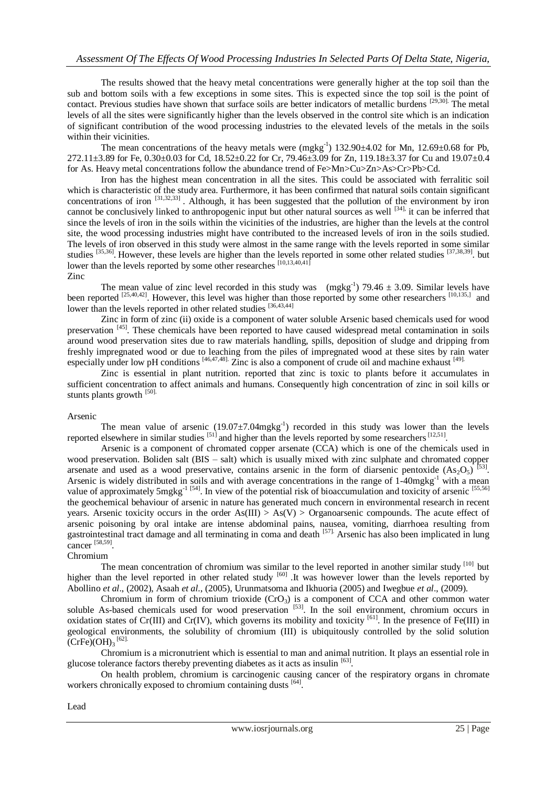The results showed that the heavy metal concentrations were generally higher at the top soil than the sub and bottom soils with a few exceptions in some sites. This is expected since the top soil is the point of contact. Previous studies have shown that surface soils are better indicators of metallic burdens [29,30]. The metal levels of all the sites were significantly higher than the levels observed in the control site which is an indication of significant contribution of the wood processing industries to the elevated levels of the metals in the soils within their vicinities.

The mean concentrations of the heavy metals were  $(mgkg^{-1})$  132.90 $\pm$ 4.02 for Mn, 12.69 $\pm$ 0.68 for Pb, 272.11±3.89 for Fe, 0.30±0.03 for Cd, 18.52±0.22 for Cr, 79.46±3.09 for Zn, 119.18±3.37 for Cu and 19.07±0.4 for As. Heavy metal concentrations follow the abundance trend of Fe>Mn>Cu>Zn>As>Cr>Pb>Cd.

Iron has the highest mean concentration in all the sites. This could be associated with ferralitic soil which is characteristic of the study area. Furthermore, it has been confirmed that natural soils contain significant concentrations of iron  $[31,32,33]$ . Although, it has been suggested that the pollution of the environment by iron cannot be conclusively linked to anthropogenic input but other natural sources as well [34], it can be inferred that since the levels of iron in the soils within the vicinities of the industries, are higher than the levels at the control site, the wood processing industries might have contributed to the increased levels of iron in the soils studied. The levels of iron observed in this study were almost in the same range with the levels reported in some similar studies  $[35,36]$ . However, these levels are higher than the levels reported in some other related studies  $[37,38,39]$ . but lower than the levels reported by some other researches [10,13,40,41]

Zinc

The mean value of zinc level recorded in this study was (mgkg<sup>-1</sup>) 79.46  $\pm$  3.09. Similar levels have been reported  $^{[25,40,42]}$ . However, this level was higher than those reported by some other researchers  $^{[10,135,]}$  and lower than the levels reported in other related studies [36,43,44]

Zinc in form of zinc (ii) oxide is a component of water soluble Arsenic based chemicals used for wood preservation <sup>[45]</sup>. These chemicals have been reported to have caused widespread metal contamination in soils around wood preservation sites due to raw materials handling, spills, deposition of sludge and dripping from freshly impregnated wood or due to leaching from the piles of impregnated wood at these sites by rain water especially under low pH conditions [46,47,48]. Zinc is also a component of crude oil and machine exhaust [49].

Zinc is essential in plant nutrition. reported that zinc is toxic to plants before it accumulates in sufficient concentration to affect animals and humans. Consequently high concentration of zinc in soil kills or stunts plants growth [50].

#### Arsenic

The mean value of arsenic  $(19.07 \pm 7.04 \text{mgkg}^{-1})$  recorded in this study was lower than the levels reported elsewhere in similar studies  $[51]$  and higher than the levels reported by some researchers  $[12,51]$ .

Arsenic is a component of chromated copper arsenate (CCA) which is one of the chemicals used in wood preservation. Boliden salt (BIS – salt) which is usually mixed with zinc sulphate and chromated copper arsenate and used as a wood preservative, contains arsenic in the form of diarsenic pentoxide  $(As_2O_5)^{53}$ . Arsenic is widely distributed in soils and with average concentrations in the range of 1-40mgkg<sup>-1</sup> with a mean value of approximately 5mgkg<sup>-1 [54]</sup>. In view of the potential risk of bioaccumulation and toxicity of arsenic [55,56] the geochemical behaviour of arsenic in nature has generated much concern in environmental research in recent years. Arsenic toxicity occurs in the order  $As(III) > As(V) > Organoarsenic compounds$ . The acute effect of arsenic poisoning by oral intake are intense abdominal pains, nausea, vomiting, diarrhoea resulting from gastrointestinal tract damage and all terminating in coma and death [57]. Arsenic has also been implicated in lung cancer [58,59].

# Chromium

The mean concentration of chromium was similar to the level reported in another similar study [10] but higher than the level reported in other related study <sup>[60]</sup> .It was however lower than the levels reported by Abollino *et al*., (2002), Asaah *et al*., (2005), Urunmatsoma and Ikhuoria (2005) and Iwegbue *et al*., (2009).

Chromium in form of chromium trioxide  $(CrO<sub>3</sub>)$  is a component of CCA and other common water soluble As-based chemicals used for wood preservation <sup>[53]</sup>. In the soil environment, chromium occurs in oxidation states of Cr(III) and Cr(IV), which governs its mobility and toxicity  $[61]$ . In the presence of Fe(III) in geological environments, the solubility of chromium (III) is ubiquitously controlled by the solid solution  $(CrFe)$ (OH)<sub>3</sub><sup>[62].</sup>

Chromium is a micronutrient which is essential to man and animal nutrition. It plays an essential role in glucose tolerance factors thereby preventing diabetes as it acts as insulin [63].

On health problem, chromium is carcinogenic causing cancer of the respiratory organs in chromate workers chronically exposed to chromium containing dusts [64].

Lead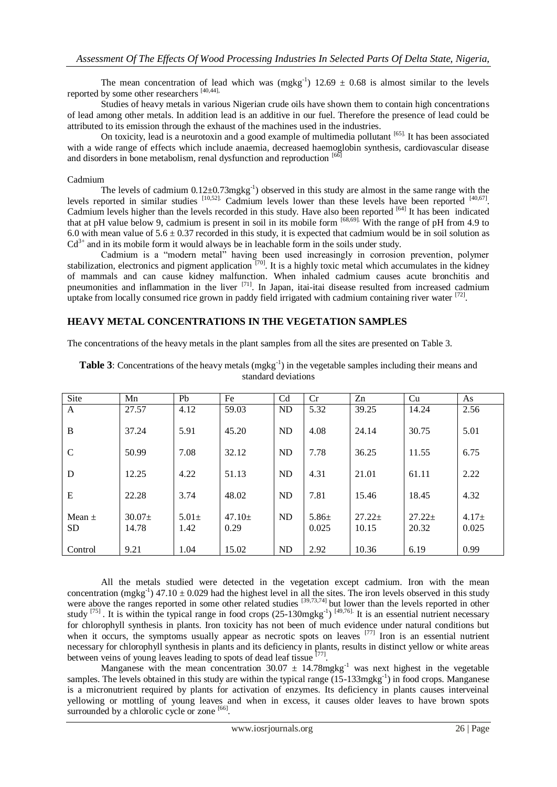The mean concentration of lead which was (mgkg<sup>-1</sup>)  $12.69 \pm 0.68$  is almost similar to the levels reported by some other researchers [40,44],

Studies of heavy metals in various Nigerian crude oils have shown them to contain high concentrations of lead among other metals. In addition lead is an additive in our fuel. Therefore the presence of lead could be attributed to its emission through the exhaust of the machines used in the industries.

On toxicity, lead is a neurotoxin and a good example of multimedia pollutant [65]. It has been associated with a wide range of effects which include anaemia, decreased haemoglobin synthesis, cardiovascular disease and disorders in bone metabolism, renal dysfunction and reproduction  $[66]$ 

#### Cadmium

The levels of cadmium  $0.12 \pm 0.73$  mgkg<sup>-1</sup>) observed in this study are almost in the same range with the levels reported in similar studies  $[10,52]$ . Cadmium levels lower than these levels have been reported  $[40,67]$ . Cadmium levels higher than the levels recorded in this study. Have also been reported [64] It has been indicated that at pH value below 9, cadmium is present in soil in its mobile form [68,69]. With the range of pH from 4.9 to 6.0 with mean value of  $5.6 \pm 0.37$  recorded in this study, it is expected that cadmium would be in soil solution as  $Cd^{3+}$  and in its mobile form it would always be in leachable form in the soils under study.

Cadmium is a "modern metal" having been used increasingly in corrosion prevention, polymer stabilization, electronics and pigment application <sup>[70]</sup>. It is a highly toxic metal which accumulates in the kidney of mammals and can cause kidney malfunction. When inhaled cadmium causes acute bronchitis and pneumonities and inflammation in the liver [71]. In Japan, itai-itai disease resulted from increased cadmium uptake from locally consumed rice grown in paddy field irrigated with cadmium containing river water  $^{[72]}$ .

## **HEAVY METAL CONCENTRATIONS IN THE VEGETATION SAMPLES**

The concentrations of the heavy metals in the plant samples from all the sites are presented on Table 3.

| Site                    | Mn                | Pb                 | Fe               | C <sub>d</sub> | Cr                  | Zn                | Cu                | As               |
|-------------------------|-------------------|--------------------|------------------|----------------|---------------------|-------------------|-------------------|------------------|
| A                       | 27.57             | 4.12               | 59.03            | ND             | 5.32                | 39.25             | 14.24             | 2.56             |
| B                       | 37.24             | 5.91               | 45.20            | ND             | 4.08                | 24.14             | 30.75             | 5.01             |
| $\mathcal{C}$           | 50.99             | 7.08               | 32.12            | <b>ND</b>      | 7.78                | 36.25             | 11.55             | 6.75             |
| D                       | 12.25             | 4.22               | 51.13            | <b>ND</b>      | 4.31                | 21.01             | 61.11             | 2.22             |
| E                       | 22.28             | 3.74               | 48.02            | N <sub>D</sub> | 7.81                | 15.46             | 18.45             | 4.32             |
| Mean $\pm$<br><b>SD</b> | $30.07+$<br>14.78 | $5.01 \pm$<br>1.42 | $47.10+$<br>0.29 | <b>ND</b>      | $5.86 \pm$<br>0.025 | $27.22+$<br>10.15 | $27.22+$<br>20.32 | $4.17+$<br>0.025 |
| Control                 | 9.21              | 1.04               | 15.02            | <b>ND</b>      | 2.92                | 10.36             | 6.19              | 0.99             |

**Table 3**: Concentrations of the heavy metals (mgkg<sup>-1</sup>) in the vegetable samples including their means and standard deviations

All the metals studied were detected in the vegetation except cadmium. Iron with the mean concentration (mgkg<sup>-1</sup>) 47.10  $\pm$  0.029 had the highest level in all the sites. The iron levels observed in this study were above the ranges reported in some other related studies [39,73,74] but lower than the levels reported in other study <sup>[75]</sup>. It is within the typical range in food crops  $(25{\text -}130 \text{mgkg}^{-1})$   $^{[49,76]}$ . It is an essential nutrient necessary for chlorophyll synthesis in plants. Iron toxicity has not been of much evidence under natural conditions but when it occurs, the symptoms usually appear as necrotic spots on leaves <sup>[77]</sup> Iron is an essential nutrient necessary for chlorophyll synthesis in plants and its deficiency in plants, results in distinct yellow or white areas between veins of young leaves leading to spots of dead leaf tissue  $[77]$ .

Manganese with the mean concentration  $30.07 \pm 14.78$  mgkg<sup>-1</sup> was next highest in the vegetable samples. The levels obtained in this study are within the typical range (15-133mgkg<sup>-1</sup>) in food crops. Manganese is a micronutrient required by plants for activation of enzymes. Its deficiency in plants causes interveinal yellowing or mottling of young leaves and when in excess, it causes older leaves to have brown spots surrounded by a chlorolic cycle or zone [66].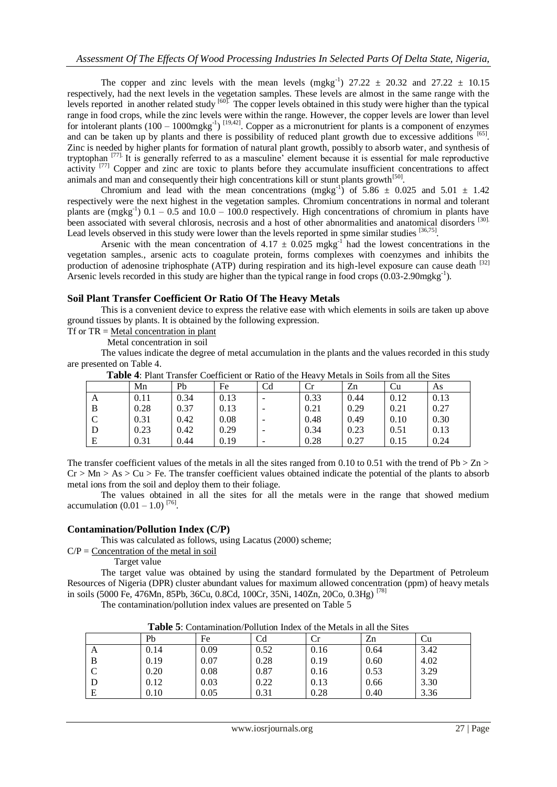The copper and zinc levels with the mean levels  $(mgkg^{-1})$  27.22  $\pm$  20.32 and 27.22  $\pm$  10.15 respectively, had the next levels in the vegetation samples. These levels are almost in the same range with the levels reported in another related study [60]. The copper levels obtained in this study were higher than the typical range in food crops, while the zinc levels were within the range. However, the copper levels are lower than level for intolerant plants  $(100 - 1000 \text{mgkg}^{-1})$   $^{[19,42]}$ . Copper as a micronutrient for plants is a component of enzymes and can be taken up by plants and there is possibility of reduced plant growth due to excessive additions [65]. Zinc is needed by higher plants for formation of natural plant growth, possibly to absorb water, and synthesis of tryptophan [77]. It is generally referred to as a masculine' element because it is essential for male reproductive activity <sup>[77]</sup> Copper and zinc are toxic to plants before they accumulate insufficient concentrations to affect animals and man and consequently their high concentrations kill or stunt plants growth<sup>[50]</sup>.

Chromium and lead with the mean concentrations (mgkg<sup>-1</sup>) of 5.86  $\pm$  0.025 and 5.01  $\pm$  1.42 respectively were the next highest in the vegetation samples. Chromium concentrations in normal and tolerant plants are (mgkg<sup>-1</sup>)  $0.1 - 0.5$  and  $10.0 - 100.0$  respectively. High concentrations of chromium in plants have been associated with several chlorosis, necrosis and a host of other abnormalities and anatomical disorders [30]. Lead levels observed in this study were lower than the levels reported in spme similar studies [36,75].

Arsenic with the mean concentration of  $4.17 \pm 0.025$  mgkg<sup>-1</sup> had the lowest concentrations in the vegetation samples., arsenic acts to coagulate protein, forms complexes with coenzymes and inhibits the production of adenosine triphosphate (ATP) during respiration and its high-level exposure can cause death [32] Arsenic levels recorded in this study are higher than the typical range in food crops  $(0.03-2.90$ mgkg<sup>-1</sup>).

#### **Soil Plant Transfer Coefficient Or Ratio Of The Heavy Metals**

This is a convenient device to express the relative ease with which elements in soils are taken up above ground tissues by plants. It is obtained by the following expression.

Tf or  $TR = Metal concentration$  in plant

Metal concentration in soil

The values indicate the degree of metal accumulation in the plants and the values recorded in this study are presented on Table 4.

| <b>A WATER TO A THILL A LUILLER COULLIVIUM</b> OF TWELP OF THE TIGHT.<br><u>thenus in Dons nome an ule bitter</u> |      |      |      |    |      |      |      |      |  |
|-------------------------------------------------------------------------------------------------------------------|------|------|------|----|------|------|------|------|--|
|                                                                                                                   | Mn   | Pb   | Fe   | Сd |      | Zn   | ∪u   | As   |  |
| A                                                                                                                 | 0.11 | 0.34 | 0.13 |    | 0.33 | 0.44 | 0.12 | 0.13 |  |
| B                                                                                                                 | 0.28 | 0.37 | 0.13 |    | 0.21 | 0.29 | 0.21 | 0.27 |  |
|                                                                                                                   | 0.31 | 0.42 | 0.08 |    | 0.48 | 0.49 | 0.10 | 0.30 |  |
| IJ                                                                                                                | 0.23 | 0.42 | 0.29 |    | 0.34 | 0.23 | 0.51 | 0.13 |  |
| Е                                                                                                                 | 0.31 | 0.44 | 0.19 |    | 0.28 | 0.27 | 0.15 | 0.24 |  |

**Table 4**: Plant Transfer Coefficient or Ratio of the Heavy Metals in Soils from all the Sites

The transfer coefficient values of the metals in all the sites ranged from 0.10 to 0.51 with the trend of  $Pb > Zn$  $Cr > Mn > As > Cu > Fe$ . The transfer coefficient values obtained indicate the potential of the plants to absorb metal ions from the soil and deploy them to their foliage.

The values obtained in all the sites for all the metals were in the range that showed medium accumulation  $(0.01 - 1.0)^{76}$ .

#### **Contamination/Pollution Index (C/P)**

This was calculated as follows, using Lacatus (2000) scheme;

 $C/P =$  Concentration of the metal in soil

Target value

The target value was obtained by using the standard formulated by the Department of Petroleum Resources of Nigeria (DPR) cluster abundant values for maximum allowed concentration (ppm) of heavy metals in soils (5000 Fe, 476Mn, 85Pb, 36Cu, 0.8Cd, 100Cr, 35Ni, 140Zn, 20Co, 0.3Hg) [78]

The contamination/pollution index values are presented on Table 5

| <b>Table 3.</b> Containmation/I ontition much of the include in an the bites |      |      |      |      |      |      |  |  |
|------------------------------------------------------------------------------|------|------|------|------|------|------|--|--|
|                                                                              | Pb   | Fe   | Cd   | U    | Zn   | ∪u   |  |  |
| A                                                                            | 0.14 | 0.09 | 0.52 | 0.16 | 0.64 | 3.42 |  |  |
|                                                                              | 0.19 | 0.07 | 0.28 | 0.19 | 0.60 | 4.02 |  |  |
|                                                                              | 0.20 | 0.08 | 0.87 | 0.16 | 0.53 | 3.29 |  |  |
|                                                                              | 0.12 | 0.03 | 0.22 | 0.13 | 0.66 | 3.30 |  |  |
|                                                                              | 0.10 | 0.05 | 0.31 | 0.28 | 0.40 | 3.36 |  |  |

**Table 5**: Contamination/Pollution Index of the Metals in all the Sites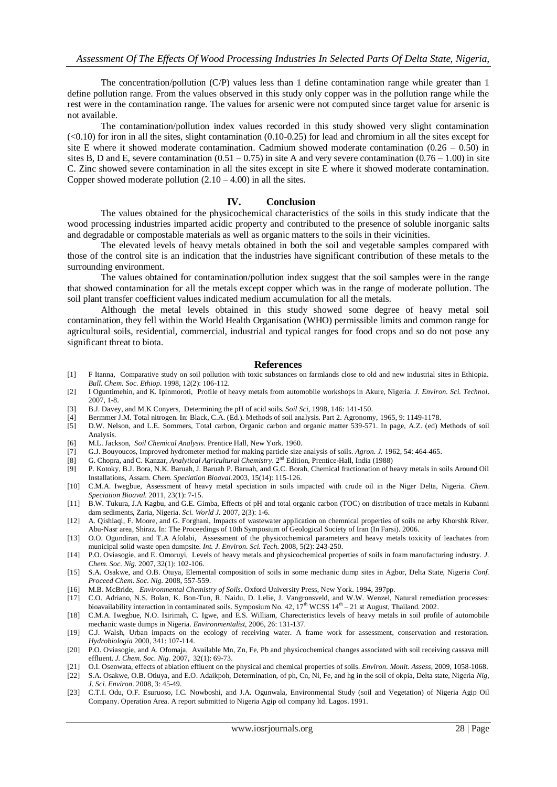The concentration/pollution (C/P) values less than 1 define contamination range while greater than 1 define pollution range. From the values observed in this study only copper was in the pollution range while the rest were in the contamination range. The values for arsenic were not computed since target value for arsenic is not available.

The contamination/pollution index values recorded in this study showed very slight contamination  $\langle$  <0.10) for iron in all the sites, slight contamination (0.10-0.25) for lead and chromium in all the sites except for site E where it showed moderate contamination. Cadmium showed moderate contamination (0.26 – 0.50) in sites B, D and E, severe contamination  $(0.51 - 0.75)$  in site A and very severe contamination  $(0.76 - 1.00)$  in site C. Zinc showed severe contamination in all the sites except in site E where it showed moderate contamination. Copper showed moderate pollution  $(2.10 - 4.00)$  in all the sites.

#### **IV. Conclusion**

The values obtained for the physicochemical characteristics of the soils in this study indicate that the wood processing industries imparted acidic property and contributed to the presence of soluble inorganic salts and degradable or compostable materials as well as organic matters to the soils in their vicinities.

The elevated levels of heavy metals obtained in both the soil and vegetable samples compared with those of the control site is an indication that the industries have significant contribution of these metals to the surrounding environment.

The values obtained for contamination/pollution index suggest that the soil samples were in the range that showed contamination for all the metals except copper which was in the range of moderate pollution. The soil plant transfer coefficient values indicated medium accumulation for all the metals.

Although the metal levels obtained in this study showed some degree of heavy metal soil contamination, they fell within the World Health Organisation (WHO) permissible limits and common range for agricultural soils, residential, commercial, industrial and typical ranges for food crops and so do not pose any significant threat to biota.

#### **References**

- [1] F Itanna, Comparative study on soil pollution with toxic substances on farmlands close to old and new industrial sites in Ethiopia. *Bull. Chem. Soc. Ethiop.* 1998, 12(2): 106-112.
- [2] I Oguntimehin, and K. Ipinmoroti, Profile of heavy metals from automobile workshops in Akure, Nigeria. *J. Environ. Sci. Technol*. 2007, 1-8.
- [3] B.J. Davey, and M.K Conyers, Determining the pH of acid soils. *Soil Sci*, 1998, 146: 141-150.
- [4] Bermmer J.M. Total nitrogen. In: Black, C.A. (Ed.). Methods of soil analysis. Part 2. Agronomy, 1965, 9: 1149-1178.
- [5] D.W. Nelson, and L.E. Sommers, Total carbon, Organic carbon and organic matter 539-571. In page, A.Z. (ed) Methods of soil Analysis.
- [6] M.L. Jackson, *Soil Chemical Analysis*. Prentice Hall, New York. 1960.
- [7] G.J. Bouyoucos, Improved hydrometer method for making particle size analysis of soils. *Agron. J.* 1962, 54: 464-465.
- [8] G. Chopra, and C. Kanzar, *Analytical Agricultural Chemistry*. 2<sup>nd</sup> Edition, Prentice-Hall, India (1988)
- [9] P. Kotoky, B.J. Bora, N.K. Baruah, J. Baruah P. Baruah, and G.C. Borah, Chemical fractionation of heavy metals in soils Around Oil Installations, Assam. *Chem. Speciation Bioaval.*2003, 15(14): 115-126.
- [10] C.M.A. Iwegbue, Assessment of heavy metal speciation in soils impacted with crude oil in the Niger Delta, Nigeria. *Chem. Speciation Bioaval.* 2011, 23(1): 7-15.
- [11] B.W. Tukura, J.A Kagbu, and G.E. Gimba, Effects of pH and total organic carbon (TOC) on distribution of trace metals in Kubanni dam sediments, Zaria, Nigeria. *Sci. World J.* 2007, 2(3): 1-6.
- [12] A. Qishlaqi, F. Moore, and G. Forghani, Impacts of wastewater application on chemnical properties of soils ne arby Khorshk River, Abu-Nasr area, Shiraz. In: The Proceedings of 10th Symposium of Geological Society of Iran (In Farsi). 2006.
- [13] O.O. Ogundiran, and T.A Afolabi, Assessment of the physicochemical parameters and heavy metals toxicity of leachates from municipal solid waste open dumpsite. *Int. J. Environ. Sci. Tech.* 2008, 5(2): 243-250.
- [14] P.O. Oviasogie, and E. Omoruyi, Levels of heavy metals and physicochemical properties of soils in foam manufacturing industry. *J. Chem. Soc. Nig.* 2007, 32(1): 102-106.
- [15] S.A. Osakwe, and O.B. Otuya, Elemental composition of soils in some mechanic dump sites in Agbor, Delta State, Nigeria *Conf. Proceed Chem. Soc. Nig.* 2008, 557-559.
- [16] M.B. McBride, *Environmental Chemistry of Soils*. Oxford University Press, New York. 1994, 397pp.
- [17] C.O. Adriano, N.S. Bolan, K. Bon-Tun, R. Naidu, D. Lelie, J. Vangronsveld, and W.W. Wenzel, Natural remediation processes: bioavailability interaction in contaminated soils. Symposium No. 42,  $17<sup>th</sup>$  WCSS  $14<sup>th</sup> - 21$  st August, Thailand. 2002.
- [18] C.M.A. Iwegbue, N.O. Isirimah, C. Igwe, and E.S. William, Charecteristics levels of heavy metals in soil profile of automobile mechanic waste dumps in Nigeria. *Environmentalist*, 2006, 26: 131-137.
- [19] C.J. Walsh, Urban impacts on the ecology of receiving water. A frame work for assessment, conservation and restoration. *Hydrobiologia* 2000, 341: 107-114.
- [20] P.O. Oviasogie, and A. Ofomaja, Available Mn, Zn, Fe, Pb and physicochemical changes associated with soil receiving cassava mill effluent. *J. Chem. Soc. Nig.* 2007, 32(1): 69-73.
- [21] O.I. Osenwata, effects of ablation effluent on the physical and chemical properties of soils. *Environ. Monit. Assess*, 2009, 1058-1068.
- [22] S.A. Osakwe, O.B. Otiuya, and E.O. Adaikpoh, Determination, of ph, Cn, Ni, Fe, and hg in the soil of okpia, Delta state, Nigeria *Nig, J. Sci. Environ*. 2008, 3: 45-49.
- [23] C.T.I. Odu, O.F. Esuruoso, I.C. Nowboshi, and J.A. Ogunwala, Environmental Study (soil and Vegetation) of Nigeria Agip Oil Company. Operation Area. A report submitted to Nigeria Agip oil company ltd. Lagos. 1991.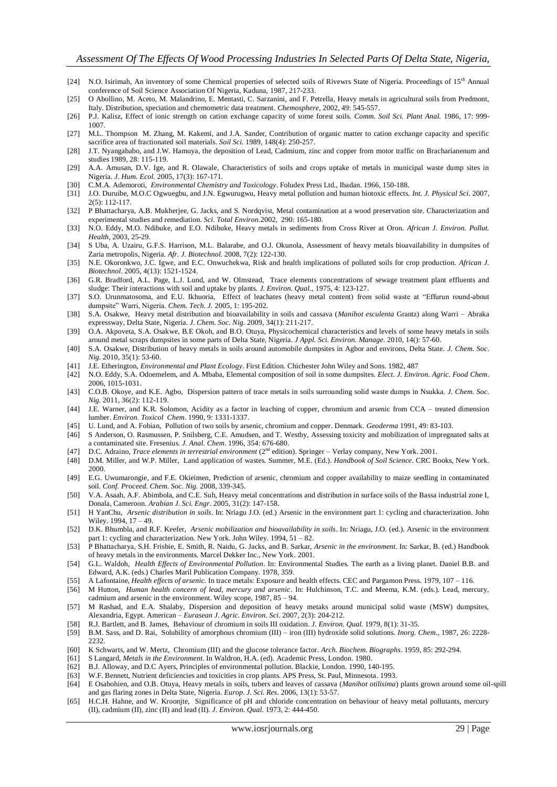- [24] N.O. Isirimah, An inventory of some Chemical properties of selected soils of Rivewrs State of Nigeria. Proceedings of 15<sup>th</sup> Annual conference of Soil Science Association Of Nigeria, Kaduna, 1987, 217-233.
- [25] O Abollino, M. Aceto, M. Malandrino, E. Mentasti, C. Sarzanini, and F. Petrella, Heavy metals in agricultural soils from Predmont, Italy. Distribution, speciation and chemometric data treatment. *Chemosphere*, 2002, 49: 545-557.
- [26] P.J. Kalisz, Effect of ionic strength on cation exchange capacity of some forest soils. *Comm. Soil Sci. Plant Anal.* 1986, 17: 999- 1007.
- [27] M.L. Thompson M. Zhang, M. Kakemi, and J.A. Sander, Contribution of organic matter to cation exchange capacity and specific sacrifice area of fractionated soil materials. *Soil Sci.* 1989, 148(4): 250-257.
- [28] J.T. Nyangababo, and J.W. Hamuya, the deposition of Lead, Cadmium, zinc and copper from motor traffic on Bracharianenum and studies 1989, 28: 115-119.
- [29] A.A. Amusan, D.V. Ige, and R. Olawale, Characteristics of soils and crops uptake of metals in municipal waste dump sites in Nigeria. *J. Hum. Ecol.* 2005, 17(3): 167-171.
- [30] C.M.A. Ademoroti, *Environmental Chemistry and Toxicology*. Foludex Press Ltd., Ibadan. 1966, 150-188.
- [31] J.O. Duruibe, M.O.C Ogwuegbu, and J.N. Egwurugwu, Heavy metal pollution and human biotoxic effects. *Int. J. Physical Sci*. 2007,  $2(5)$ : 112-117.
- [32] P Bhattacharya, A.B. Mukherjee, G. Jacks, and S. Nordqvist, Metal contamination at a wood preservation site. Characterization and experimental studies and remediation. *Sci. Total Environ.*2002, 290: 165-180.
- [33] N.O. Eddy, M.O. Ndibuke, and E.O. Ndibuke, Heavy metals in sediments from Cross River at Oron. *African J. Environ. Pollut. Health*, 2003, 25-29.
- [34] S Uba, A. Uzairu, G.F.S. Harrison, M.L. Balarabe, and O.J. Okunola, Assessment of heavy metals bioavailability in dumpsites of Zaria metropolis, Nigeria. *Afr. J. Biotechnol.* 2008, 7(2): 122-130.
- [35] N.E. Okoronkwo, J.C. Igwe, and E.C. Onwuchekwa, Risk and health implications of polluted soils for crop production. *African J. Biotechnol*. 2005, 4(13): 1521-1524.
- [36] G.R. Bradford, A.L. Page, L.J. Lund, and W. Olmstead, Trace elements concentrations of sewage treatment plant effluents and sludge: Their interactions with soil and uptake by plants. *J. Environ. Qual.*, 1975, 4: 123-127.
- [37] S.O. Urunmatosoma, and E.U. Ikhuoria, Effect of leachates (heavy metal content) from solid waste at "Effurun round-about dumpsite" Warri, Nigeria. *Chem. Tech. J.* 2005, 1: 195-202.
- [38] S.A. Osakwe, Heavy metal distribution and bioavailability in soils and cassava (*Manihot esculenta* Grantz) along Warri Abraka expressway, Delta State, Nigeria. *J. Chem. Soc. Nig.* 2009, 34(1): 211-217.
- [39] O.A. Akpoveta, S.A. Osakwe, B.E Okoh, and B.O. Otuya, Physicochemical characteristics and levels of some heavy metals in soils around metal scraps dumpsites in some parts of Delta State, Nigeria. *J Appl. Sci. Environ. Manage.* 2010, 14(): 57-60.
- [40] S.A. Osakwe, Distribution of heavy metals in soils around automobile dumpsites in Agbor and environs, Delta State. *J. Chem. Soc. Nig.* 2010, 35(1): 53-60.
- [41] J.E. Etherington, *Environmental and Plant Ecology*. First Edition. Chichester John Wiley and Sons. 1982, 487
- [42] N.O. Eddy, S.A. Odoemelem, and A. Mbaba, Elemental composition of soil in some dumpsites. *Elect. J. Environ. Agric. Food Chem*. 2006, 1015-1031.
- [43] C.O.B. Okoye, and K.E. Agbo, Dispersion pattern of trace metals in soils surrounding solid waste dumps in Nsukka. *J. Chem. Soc. Nig.* 2011, 36(2): 112-119.
- [44] J.E. Warner, and K.R. Solomon, Acidity as a factor in leaching of copper, chromium and arsenic from CCA treated dimension lumber. *Environ. Toxicol Chem*. 1990, 9: 1331-1337.
- [45] U. Lund, and A. Fobian, Pollution of two soils by arsenic, chromium and copper. Denmark. *Geoderma* 1991, 49: 83-103.
- [46] S Anderson, O. Rasmussen, P. Snilsberg, C.E. Amudsen, and T. Westby, Assessing toxicity and mobilization of impregnated salts at a contaminated site. Fresenius. *J. Anal. Chem*. 1996, 354: 676-680.
- [47] D.C. Adraino, *Trace elements in terrestrial environment* (2nd edition). Springer Verlay company, New York. 2001.
- [48] D.M. Miller, and W.P. Miller, Land application of wastes. Summer, M.E. (Ed.). *Handbook of Soil Science*. CRC Books, New York. 2000.
- [49] E.G. Uwumarongie, and F.E. Okieimen, Prediction of arsenic, chromium and copper availability to maize seedling in contaminated soil. *Conf. Proceed. Chem. Soc. Nig.* 2008, 339-345.
- [50] V.A. Asaah, A.F. Abimbola, and C.E. Suh, Heavy metal concentrations and distribution in surface soils of the Bassa industrial zone I, Donala, Cameroon. *Arabian J. Sci. Engr.* 2005, 31(2): 147-158.
- [51] H YanChu, *Arsenic distribution in soils*. In: Nriagu J.O. (ed.) Arsenic in the environment part 1: cycling and characterization. John Wiley. 1994, 17 – 49.
- [52] D.K. Bhumbla, and R.F. Keefer, *Arsenic mobilization and bioavailability in soils*. In: Nriagu, J.O. (ed.). Arsenic in the environment part 1: cycling and characterization. New York. John Wiley. 1994, 51 – 82.
- [53] P Bhattacharya, S.H. Frisbie, E. Smith, R. Naidu, G. Jacks, and B. Sarkar, *Arsenic in the environment*. In: Sarkar, B. (ed.) Handbook of heavy metals in the environments. Marcel Dekker Inc., New York. 2001.
- [54] G.L. Waldoh, *Health Effects of Environmental Pollution*. In: Environmental Studies. The earth as a living planet. Daniel B.B. and Edward, A.K. (eds.) Charles Maril Publication Company. 1978, 359.
- [55] A Lafontaine, *Health effects of arsenic.* In trace metals: Exposure and health effects. CEC and Pargamon Press. 1979, 107 116.
- [56] M Hutton, *Human health concern of lead, mercury and arsenic*. In: Hulchinson, T.C. and Meema, K.M. (eds.). Lead, mercury, cadmium and arsenic in the environment. Wiley scope, 1987, 85 – 94.
- [57] M Rashad, and E.A. Shalaby, Dispersion and deposition of heavy metaks around municipal solid waste (MSW) dumpsites, Alexandria, Egypt. American – *Eurasean J. Agric. Environ. Sci*. 2007, 2(3): 204-212.
- [58] R.J. Bartlett, and B. James, Behaviour of chromium in soils III oxidation. *J. Environ. Qual.* 1979, 8(1): 31-35.
- [59] B.M. Sass, and D. Rai, Solubility of amorphous chromium (III) iron (III) hydroxide solid solutions. *Inorg. Chem.*, 1987, 26: 2228- 2232.
- [60] K Schwarts, and W. Mertz, Chromium (III) and the glucose tolerance factor. *Arch. Biochem. Biographs*. 1959, 85: 292-294.
- [61] S Langard, *Metals in the Environment*. In Waldron, H.A. (ed). Academic Press, London. 1980.
- [62] B.J. Alloway, and D.C Ayers, Principles of environmental pollution. Blackie, London. 1990, 140-195.
- [63] W.F. Bennett, Nutrient deficiencies and toxicities in crop plants. APS Press, St. Paul, Minnesota. 1993.
- [64] E Osabohien, and O.B. Otuya, Heavy metals in soils, tubers and leaves of cassava (*Manihot otilisima*) plants grown around some oil-spill and gas flaring zones in Delta State, Nigeria. *Europ. J. Sci. Res.* 2006, 13(1): 53-57.
- [65] H.C.H. Hahne, and W. Kroonjte, Significance of pH and chloride concentration on behaviour of heavy metal pollutants, mercury (II), cadmium (II), zinc (II) and lead (II). *J. Environ. Qual.* 1973, 2: 444-450.